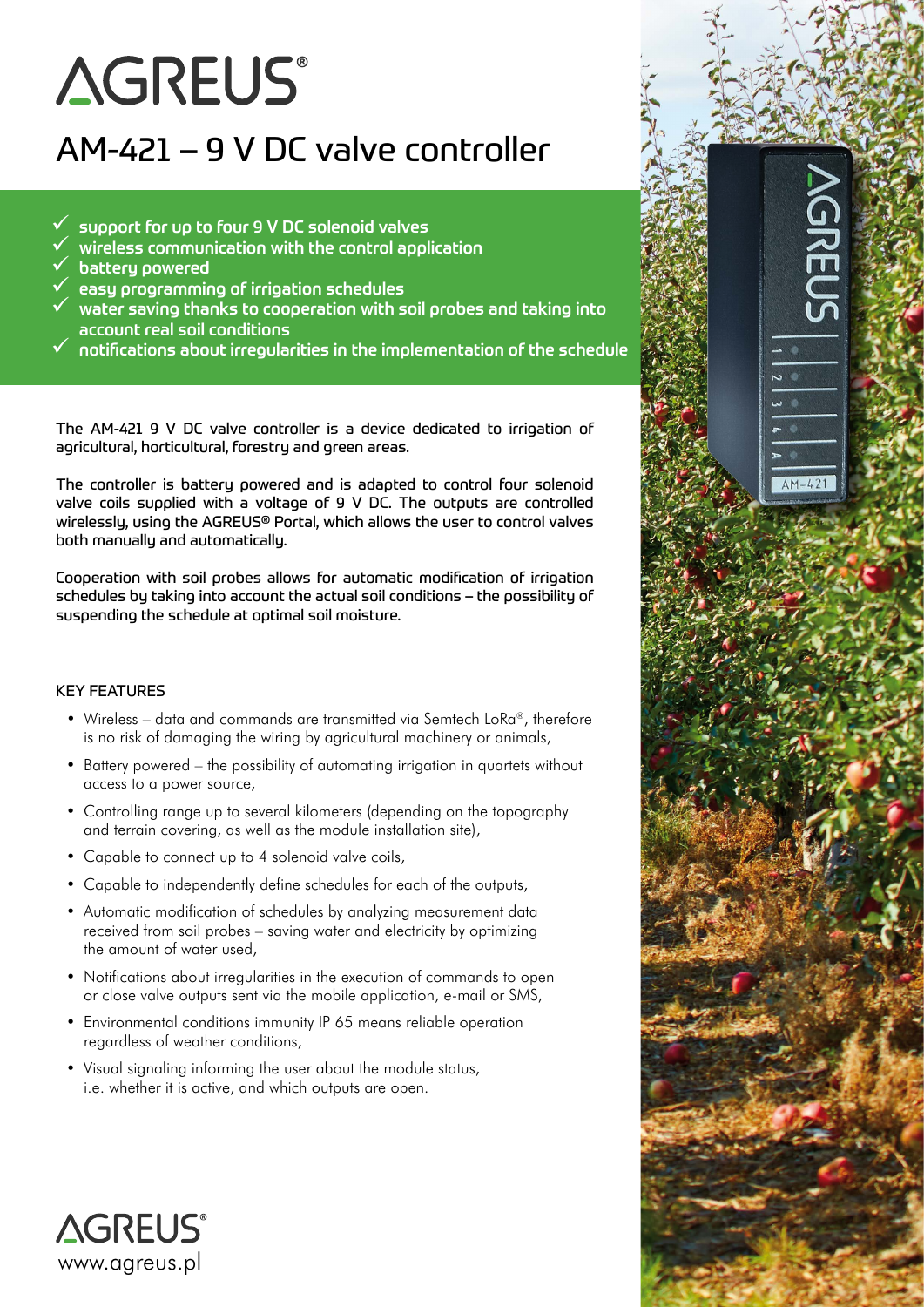# **AGREUS®**

## AM-421 – 9 V DC valve controller

- 9 support for up to four 9 V DC solenoid valves
- 9 wireless communication with the control application
- 9 battery powered
- 9 easy programming of irrigation schedules
- 9 water saving thanks to cooperation with soil probes and taking into account real soil conditions
- 9 notifications about irregularities in the implementation of the schedule

 $\overline{z}$  $\overline{\mathbf{u}}$  $\blacksquare$ 

 $AM-42$ 

The AM-421 9 V DC valve controller is a device dedicated to irrigation of agricultural, horticultural, forestry and green areas.

The controller is battery powered and is adapted to control four solenoid valve coils supplied with a voltage of 9 V DC. The outputs are controlled wirelessly, using the AGREUS® Portal, which allows the user to control valves both manually and automatically.

Cooperation with soil probes allows for automatic modification of irrigation schedules by taking into account the actual soil conditions – the possibility of suspending the schedule at optimal soil moisture.

### KEY FEATURES

- Wireless data and commands are transmitted via Semtech LoRa®, therefore is no risk of damaging the wiring by agricultural machinery or animals,
- Battery powered the possibility of automating irrigation in quartets without access to a power source,
- Controlling range up to several kilometers (depending on the topography and terrain covering, as well as the module installation site),
- Capable to connect up to 4 solenoid valve coils,
- Capable to independently define schedules for each of the outputs,
- Automatic modification of schedules by analyzing measurement data received from soil probes – saving water and electricity by optimizing the amount of water used,
- Notifications about irregularities in the execution of commands to open or close valve outputs sent via the mobile application, e-mail or SMS,
- Environmental conditions immunity IP 65 means reliable operation regardless of weather conditions,
- Visual signaling informing the user about the module status, i.e. whether it is active, and which outputs are open.